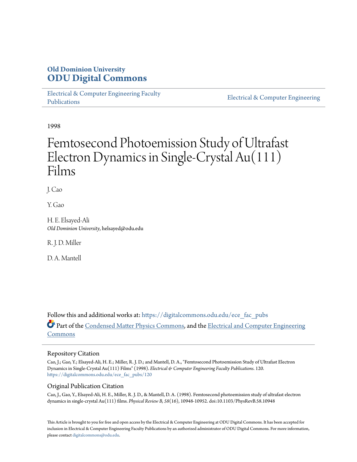# **Old Dominion University [ODU Digital Commons](https://digitalcommons.odu.edu?utm_source=digitalcommons.odu.edu%2Fece_fac_pubs%2F120&utm_medium=PDF&utm_campaign=PDFCoverPages)**

[Electrical & Computer Engineering Faculty](https://digitalcommons.odu.edu/ece_fac_pubs?utm_source=digitalcommons.odu.edu%2Fece_fac_pubs%2F120&utm_medium=PDF&utm_campaign=PDFCoverPages) [Publications](https://digitalcommons.odu.edu/ece_fac_pubs?utm_source=digitalcommons.odu.edu%2Fece_fac_pubs%2F120&utm_medium=PDF&utm_campaign=PDFCoverPages)

[Electrical & Computer Engineering](https://digitalcommons.odu.edu/ece?utm_source=digitalcommons.odu.edu%2Fece_fac_pubs%2F120&utm_medium=PDF&utm_campaign=PDFCoverPages)

1998

# Femtosecond Photoemission Study of Ultrafast Electron Dynamics in Single-Crystal Au(111) Films

J. Cao

Y. Gao

H. E. Elsayed-Ali *Old Dominion University*, helsayed@odu.edu

R. J. D. Miller

D. A. Mantell

Follow this and additional works at: [https://digitalcommons.odu.edu/ece\\_fac\\_pubs](https://digitalcommons.odu.edu/ece_fac_pubs?utm_source=digitalcommons.odu.edu%2Fece_fac_pubs%2F120&utm_medium=PDF&utm_campaign=PDFCoverPages) Part of the [Condensed Matter Physics Commons,](http://network.bepress.com/hgg/discipline/197?utm_source=digitalcommons.odu.edu%2Fece_fac_pubs%2F120&utm_medium=PDF&utm_campaign=PDFCoverPages) and the [Electrical and Computer Engineering](http://network.bepress.com/hgg/discipline/266?utm_source=digitalcommons.odu.edu%2Fece_fac_pubs%2F120&utm_medium=PDF&utm_campaign=PDFCoverPages) [Commons](http://network.bepress.com/hgg/discipline/266?utm_source=digitalcommons.odu.edu%2Fece_fac_pubs%2F120&utm_medium=PDF&utm_campaign=PDFCoverPages)

### Repository Citation

Cao, J.; Gao, Y.; Elsayed-Ali, H. E.; Miller, R. J. D.; and Mantell, D. A., "Femtosecond Photoemission Study of Ultrafast Electron Dynamics in Single-Crystal Au(111) Films" (1998). *Electrical & Computer Engineering Faculty Publications*. 120. [https://digitalcommons.odu.edu/ece\\_fac\\_pubs/120](https://digitalcommons.odu.edu/ece_fac_pubs/120?utm_source=digitalcommons.odu.edu%2Fece_fac_pubs%2F120&utm_medium=PDF&utm_campaign=PDFCoverPages)

## Original Publication Citation

Cao, J., Gao, Y., Elsayed-Ali, H. E., Miller, R. J. D., & Mantell, D. A. (1998). Femtosecond photoemission study of ultrafast electron dynamics in single-crystal Au(111) films. *Physical Review B, 58*(16), 10948-10952. doi:10.1103/PhysRevB.58.10948

This Article is brought to you for free and open access by the Electrical & Computer Engineering at ODU Digital Commons. It has been accepted for inclusion in Electrical & Computer Engineering Faculty Publications by an authorized administrator of ODU Digital Commons. For more information, please contact [digitalcommons@odu.edu](mailto:digitalcommons@odu.edu).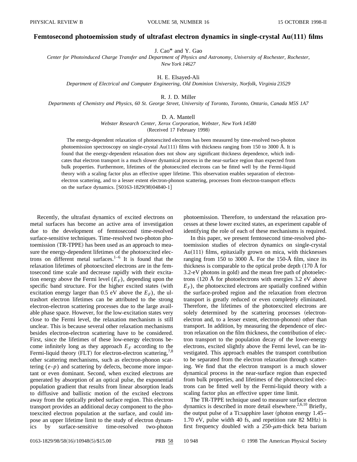#### **Femtosecond photoemission study of ultrafast electron dynamics in single-crystal Au**"**111**… **films**

J. Cao\* and Y. Gao

*Center for Photoinduced Charge Transfer and Department of Physics and Astronomy, University of Rochester, Rochester, New York 14627*

H. E. Elsayed-Ali

*Department of Electrical and Computer Engineering, Old Dominion University, Norfolk, Virginia 23529*

R. J. D. Miller

*Departments of Chemistry and Physics, 60 St. George Street, University of Toronto, Toronto, Ontario, Canada M5S 1A7*

#### D. A. Mantell

*Webster Research Center, Xerox Corporation, Webster, New York 14580* (Received 17 February 1998)

The energy-dependent relaxation of photoexcited electrons has been measured by time-resolved two-photon photoemission spectroscopy on single-crystal Au $(111)$  films with thickness ranging from 150 to 3000 Å. It is found that the energy-dependent relaxation does not show any significant thickness dependence, which indicates that electron transport is a much slower dynamical process in the near-surface region than expected from bulk properties. Furthermore, lifetimes of the photoexcited electrons can be fitted well by the Fermi-liquid theory with a scaling factor plus an effective upper lifetime. This observation enables separation of electronelectron scattering, and to a lesser extent electron-phonon scattering, processes from electron-transport effects on the surface dynamics.  $[$0163-1829(98)04840-1]$ 

Recently, the ultrafast dynamics of excited electrons on metal surfaces has become an active area of investigation due to the development of femtosecond time-resolved surface-sensitive techniques. Time-resolved two-photon photoemission (TR-TPPE) has been used as an approach to measure the energy-dependent lifetimes of the photoexcited electrons on different metal surfaces. $1-6$  It is found that the relaxation lifetimes of photoexcited electrons are in the femtosecond time scale and decrease rapidly with their excitation energy above the Fermi level  $(E_F)$ , depending upon the specific band structure. For the higher excited states (with excitation energy larger than 0.5 eV above the  $E_F$ ), the ultrashort electron lifetimes can be attributed to the strong electron-electron scattering processes due to the large available phase space. However, for the low-excitation states very close to the Fermi level, the relaxation mechanism is still unclear. This is because several other relaxation mechanisms besides electron-electron scattering have to be considered. First, since the lifetimes of these low-energy electrons become infinitely long as they approach  $E_F$  according to the Fermi-liquid theory  $(FLT)$  for electron-electron scattering,<sup>7,8</sup> other scattering mechanisms, such as electron-phonon scattering (*e*-*p*) and scattering by defects, become more important or even dominant. Second, when excited electrons are generated by absorption of an optical pulse, the exponential population gradient that results from linear absorption leads to diffusive and ballistic motion of the excited electrons away from the optically probed surface region. This electron transport provides an additional decay component to the photoexcited electron population at the surface, and could impose an upper lifetime limit to the study of electron dynamics by surface-sensitive time-resolved two-photon

photoemission. Therefore, to understand the relaxation processes at these lower excited states, an experiment capable of identifying the role of each of these mechanisms is required.

In this paper, we present femtosecond time-resolved photoemission studies of electron dynamics on single-crystal  $Au(111)$  films, epitaxially grown on mica, with thicknesses ranging from 150 to 3000 Å. For the 150-Å film, since its thickness is comparable to the optical probe depth  $(170 \text{ Å}$  for  $3.2$ -eV photons in gold) and the mean free path of photoelectrons  $(120 \text{ Å}$  for photoelectrons with energies 3.2 eV above  $E_F$ ), the photoexcited electrons are spatially confined within the surface-probed region and the relaxation from electron transport is greatly reduced or even completely eliminated. Therefore, the lifetimes of the photoexcited electrons are solely determined by the scattering processes (electronelectron and, to a lesser extent, electron-phonon) other than transport. In addition, by measuring the dependence of electron relaxation on the film thickness, the contribution of electron transport to the population decay of the lower-energy electrons, excited slightly above the Fermi level, can be investigated. This approach enables the transport contribution to be separated from the electron relaxation through scattering. We find that the electron transport is a much slower dynamical process in the near-surface region than expected from bulk properties, and lifetimes of the photoexcited electrons can be fitted well by the Fermi-liquid theory with a scaling factor plus an effective upper time limit.

The TR-TPPE technique used to measure surface electron dynamics is described in more detail elsewhere.<sup>2,6,10</sup> Briefly, the output pulse of a Ti:sapphire laser (photon energy  $1.45 1.70$  eV, pulse width 40 fs, and repetition rate 82 MHz) is first frequency doubled with a  $250-\mu$ m-thick beta barium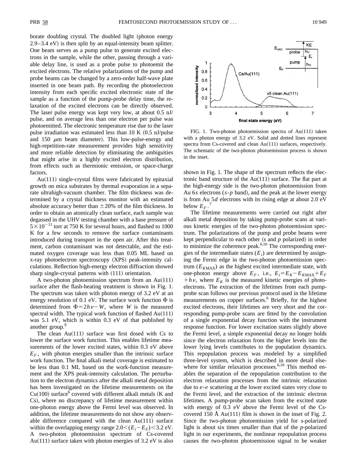borate doubling crystal. The doubled light (photon energy  $2.9-3.4$  eV) is then split by an equal-intensity beam splitter. One beam serves as a pump pulse to generate excited electrons in the sample, while the other, passing through a variable delay line, is used as a probe pulse to photoemit the excited electrons. The relative polarizations of the pump and probe beams can be changed by a zero-order half-wave plate inserted in one beam path. By recording the photoelectron intensity from each specific excited electronic state of the sample as a function of the pump-probe delay time, the relaxation of the excited electrons can be directly observed. The laser pulse energy was kept very low, at about 0.5 nJ/ pulse, and on average less than one electron per pulse was photoemitted. The electronic temperature rise due to the laser pulse irradiation was estimated less than  $10 K (0.5 nJ/pulse)$ and 150  $\mu$ m beam diameter). This low-pulse-energy and high-repetition-rate measurement provides high sensitivity and more reliable detection by eliminating the ambiguities that might arise in a highly excited electron distribution, from effects such as thermionic emission, or space-charge factors.

Au $(111)$  single-crystal films were fabricated by epitaxial growth on mica substrates by thermal evaporation in a separate ultrahigh-vacuum chamber. The film thickness was determined by a crystal thickness monitor with an estimated absolute accuracy better than  $\pm 20\%$  of the film thickness. In order to obtain an atomically clean surface, each sample was degassed in the UHV testing chamber with a base pressure of  $5 \times 10^{-11}$  torr at 750 K for several hours, and flashed to 1000 K for a few seconds to remove the surface contaminants introduced during transport in the open air. After this treatment, carbon contaminant was not detectable, and the estimated oxygen coverage was less than 0.05 ML based on x-ray photoelectron spectroscopy (XPS) peak-intensity calculations. Reflection high-energy electron diffraction showed sharp single-crystal patterns with  $(111)$  orientation.

A two-photon photoemission spectrum from an  $Au(111)$ surface after the flash-heating treatment is shown in Fig. 1. The spectrum was taken with photon energy of 3.2 eV at an energy resolution of 0.1 eV. The surface work function  $\Phi$  is determined from  $\Phi = 2h\nu - W$ , where *W* is the measured spectral width. The typical work function of flashed  $Au(111)$ was 5.1 eV, which is within 0.3 eV of that published by another group.<sup>9</sup>

The clean  $Au(111)$  surface was first dosed with Cs to lower the surface work function. This enables lifetime measurements of the lower excited states, within 0.3 eV above  $E_F$ , with photon energies smaller than the intrinsic surface work function. The final alkali metal coverage is estimated to be less than 0.1 ML based on the work-function measurement and the XPS peak-intensity calculation. The perturbation to the electron dynamics after the alkali metal deposition has been investigated on the lifetime measurements on the  $Cu(100)$  surface<sup>6</sup> covered with different alkali metals (K and Cs), where no discrepancy of lifetime measurement within one-photon energy above the Fermi level was observed. In addition, the lifetime measurements do not show any observable difference compared with the clean  $Au(111)$  surface within the overlapping energy range  $2.0 \leq (E_i - E_F) \leq 3.2$  eV. A two-photon photoemission spectrum of Cs-covered Au(111) surface taken with photon energies of  $3.2$  eV is also



FIG. 1. Two-photon photoemission spectra of Au $(111)$  taken with a photon energy of 3.2 eV. Solid and dotted lines represent spectra from Cs-covered and clean  $Au(111)$  surfaces, respectively. The schematic of the two-photon photoemission process is shown in the inset.

shown in Fig. 1. The shape of the spectrum reflects the electronic band structure of the  $Au(111)$  surface. The flat part at the high-energy side is the two-photon photoemission from Au 6 $s$  electrons  $(s-p \text{ band})$ , and the peak at the lower energy is from Au 5*d* electrons with its rising edge at about 2.0 eV below  $E_F$ .<sup>7</sup>

The lifetime measurements were carried out right after alkali metal deposition by taking pump-probe scans at various kinetic energies of the two-photon photoemission spectrum. The polarizations of the pump and probe beams were kept perpendicular to each other  $(s$  and  $p$  polarized) in order to minimize the coherence peak. $6,10$  The corresponding energies of the intermediate states  $(E_i)$  are determined by assigning the Fermi edge in the two-photon photoemission spectrum  $(E_{KMAX})$  as the highest excited intermediate state, with one-photon energy above  $E_F$ , i.e.,  $E_i = E_K - E_{KMAX} + E_F$  $+h\nu$ , where  $E_K$  is the measured kinetic energies of photoelectrons. The extraction of the lifetimes from each pumpprobe scan follows our previous protocol used in the lifetime measurements on copper surfaces.<sup>6</sup> Briefly, for the highest excited electrons, their lifetimes are very short and the corresponding pump-probe scans are fitted by the convolution of a single exponential decay function with the instrument response function. For lower excitation states slightly above the Fermi level, a simple exponential decay no longer holds since the electron relaxation from the higher levels into the lower lying levels contributes to the population dynamics. This repopulation process was modeled by a simplified three-level system, which is described in more detail elsewhere for similar relaxation processes. $6,10$  This method enables the separation of the repopulation contribution to the electron relaxation processes from the intrinsic relaxation due to *e*-*e* scattering at the lower excited states very close to the Fermi level, and the extraction of the intrinsic electron lifetimes. A pump-probe scan taken from the excited state with energy of 0.3 eV above the Fermi level of the Cscovered 150 Å  $Au(111)$  film is shown in the inset of Fig. 2. Since the two-photon photoemission yield for *s*-polarized light is about six times smaller than that of the *p*-polarized light in our experiments, the nonlinear repopulation process causes the two-photon photoemission signal to be weaker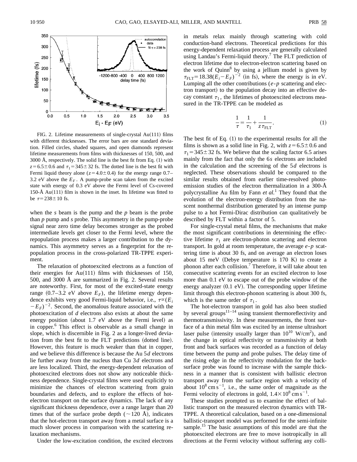

FIG. 2. Lifetime measurements of single-crystal  $Au(111)$  films with different thicknesses. The error bars are one standard deviation. Filled circles, shaded squares, and open diamonds represent lifetime measurements from films with thicknesses of 150, 500, and  $3000 \text{ Å}$ , respectively. The solid line is the best fit from Eq.  $(1)$  with  $z=6.5\pm0.6$  and  $\tau_1=345\pm32$  fs. The dotted line is the best fit with Fermi liquid theory alone ( $z=4.0\pm0.4$ ) for the energy range 0.7– 3.2 eV above the  $E_F$ . A pump-probe scan taken from the excited state with energy of 0.3 eV above the Fermi level of Cs-covered 150-Å Au $(111)$  film is shown in the inset. Its lifetime was fitted to be  $\tau = 238 \pm 10$  fs.

when the *s* beam is the pump and the *p* beam is the probe than *p* pump and *s* probe. This asymmetry in the pump-probe signal near zero time delay becomes stronger as the probed intermediate levels get closer to the Fermi level, where the repopulation process makes a larger contribution to the dynamics. This asymmetry serves as a fingerprint for the repopulation process in the cross-polarized TR-TPPE experiment.

The relaxation of photoexcited electrons as a function of their energies for  $Au(111)$  films with thicknesses of 150, 500, and 3000 Å are summarized in Fig. 2. Several results are noteworthy. First, for most of the excited-state energy range  $(0.7-3.2 \text{ eV}$  above  $E_F$ ), the lifetime energy dependence exhibits very good Fermi-liquid behavior, i.e.,  $\tau^{\alpha}(E_i)$  $-E_F$ <sup>-2</sup>. Second, the anomalous feature associated with the photoexcitation of *d* electrons also exists at about the same energy position (about  $1.7$  eV above the Fermi level) as in copper.<sup>6</sup> This effect is observable as a small change in slope, which is discernible in Fig. 2 as a longer-lived deviation from the best fit to the FLT predictions (dotted line). However, this feature is much weaker than that in copper, and we believe this difference is because the Au 5*d* electrons lie further away from the nucleus than Cu 3*d* electrons and are less localized. Third, the energy-dependent relaxation of photoexcited electrons does not show any noticeable thickness dependence. Single-crystal films were used explicitly to minimize the chances of electron scattering from grain boundaries and defects, and to explore the effects of hotelectron transport on the surface dynamics. The lack of any significant thickness dependence, over a range larger than 20 times that of the surface probe depth ( $\sim$ 120 Å), indicates that the hot-electron transport away from a metal surface is a much slower process in comparison with the scattering relaxation mechanisms.

Under the low-excitation condition, the excited electrons

in metals relax mainly through scattering with cold conduction-band electrons. Theoretical predictions for this energy-dependent relaxation process are generally calculated using Landau's Fermi-liquid theory.<sup>7</sup> The FLT prediction of electron lifetime due to electron-electron scattering based on the work of Quinn<sup>8</sup> by using a jellium model is given by  $\tau_{\text{ELT}}=18.38(\vec{E_i}-E_F)^{-2}$  (in fs), where the energy is in eV. Lumping all the other contributions (*e*-*p* scattering and electron transport) to the population decay into an effective decay constant  $\tau_1$ , the lifetimes of photoexcited electrons measured in the TR-TPPE can be modeled as

$$
\frac{1}{\tau} = \frac{1}{\tau_1} + \frac{1}{z \tau_{\text{FLT}}}.
$$
 (1)

The best fit of Eq.  $(1)$  to the experimental results for all the films is shown as a solid line in Fig. 2, with  $z=6.5\pm0.6$  and  $\tau_1$  = 345 ± 32 fs. We believe that the scaling factor 6.5 arises mainly from the fact that only the 6*s* electrons are included in the calculation and the screening of the 5*d* electrons is neglected. These observations should be compared to the similar results obtained from earlier time-resolved photoemission studies of the electron thermalization in a 300-Å polycrystalline Au film by Fann *et al.*<sup>1</sup> They found that the evolution of the electron-energy distribution from the nascent nonthermal distribution generated by an intense pump pulse to a hot Fermi-Dirac distribution can qualitatively be described by FLT within a factor of 5.

For single-crystal metal films, the mechanisms that make the most significant contributions in determining the effective lifetime  $\tau_1$  are electron-photon scattering and electron transport. In gold at room temperature, the average *e*-*p* scattering time is about 30 fs, and on average an electron loses about 15 meV (Debye temperature is 170 K) to create a phonon after each collision.<sup> $\prime$ </sup> Therefore, it will take about ten consecutive scattering events for an excited electron to lose more than 0.1 eV to escape out of the probe window of the energy analyzer  $(0.1 \text{ eV})$ . The corresponding upper lifetime limit through this electron-phonon scattering is about 300 fs, which is the same order of  $\tau_1$ .

The hot-electron transport in gold has also been studied by several groups $11-14$  using transient thermoreflectivity and thermotransmissivity. In these measurements, the front surface of a thin metal film was excited by an intense ultrashort laser pulse (intensity usually larger than  $10^{10}$  W/cm<sup>2</sup>), and the change in optical reflectivity or transmissivity at both front and back surfaces was recorded as a function of delay time between the pump and probe pulses. The delay time of the rising edge in the reflectivity modulation for the backsurface probe was found to increase with the sample thickness in a manner that is consistent with ballistic electron transport away from the surface region with a velocity of about  $10^8$  cm s<sup>-1</sup>, i.e., the same order of magnitude as the Fermi velocity of electrons in gold,  $1.4 \times 10^8$  cm s<sup>-1</sup>.

These studies prompted us to examine the effect of ballistic transport on the measured electron dynamics with TR-TPPE. A theoretical calculation, based on a one-dimensional ballistic-transport model was performed for the semi-infinite sample.<sup>15</sup> The basic assumptions of this model are that the photoexcited electrons are free to move isotropically in all directions at the Fermi velocity without suffering any colli-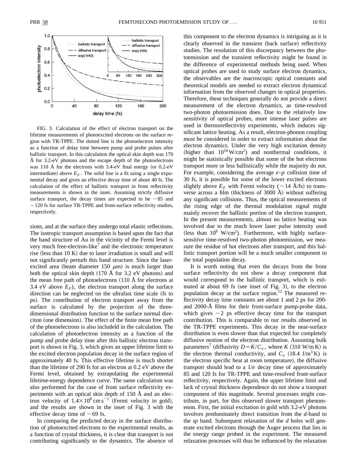

FIG. 3. Calculation of the effect of electron transport on the lifetime measurements of photoexcited electrons on the surface region with TR-TPPE. The dotted line is the photoelectron intensity as a function of delay time between pump and probe pulses after ballistic transport. In this calculation the optical skin depth was 170 Å for 3.2-eV photons and the escape depth of the photoelectrons was 110  $\AA$  for the electrons with 3.4-eV final energy (or 0.2-eV intermediate) above  $E_F$ . The solid line is a fit using a single exponential decay and gives an effective decay time of about 40 fs. The calculation of the effect of ballistic transport in front reflectivity measurements is shown in the inset. Assuming strictly diffusive surface transport, the decay times are expected to be  $\sim 85$  and  $\sim$  120 fs for surface TR-TPPE and front-surface reflectivity studies, respectively.

sions, and at the surface they undergo total elastic reflections. The isotropic transport assumption is based upon the fact that the band structure of Au in the vicinity of the Fermi level is very much free-electron-like<sup>7</sup> and the electronic temperature rise (less than  $10 K$ ) due to laser irradiation is small and will not significantly perturb this band structure. Since the laserexcited area (beam diameter 150  $\mu$ m) is much larger than both the optical skin depth  $(170 \text{ Å}$  for 3.2 eV photons) and the mean free path of photoelectrons  $(110 \text{ Å}$  for electrons at 3.4 eV above  $E_F$ ), the electron transport along the surface direction can be neglected on the ultrafast time scale (fs to ps). The contribution of electron transport away from the surface is calculated by the projection of the threedimensional distribution function to the surface normal direciton (one dimension). The effect of the finite mean free path of the photoelectrons is also includeld in the calculation. The calculation of photoelectron intensity as a function of the pump and probe delay time after this ballistic electron transport is shown in Fig. 3, which gives an upper lifetime limit to the excited electron population decay in the surface region of approximately 40 fs. This effective lifetime is much shorter than the lifetime of 290 fs for an electron at 0.2 eV above the Fermi level, obtained by extrapolating the experimental lifetime-energy dependence curve. The same calculation was also performed for the case of front surface reflectivity experiments with an optical skin depth of 150 Å and an electron velocity of  $1.4 \times 10^8$  cm s<sup>-1</sup> (Fermi velocity in gold), and the results are shown in the inset of Fig. 3 with the effective decay time of  $\sim$  69 fs.

In comparing the predicted decay in the surface distribution of photoexcited electrons to the experimental results, as a function of crystal thickness, it is clear that transport is not contributing significantly to the dynamics. The absence of this component to the electron dynamics is intriguing as it is clearly observed in the transient (back surface) reflectivity studies. The resolution of this discrepancy between the photoemission and the transient reflectivity might be found in the difference of experimental methods being used. When optical probes are used to study surface electron dynamics, the observables are the macroscopic optical constants and theoretical models are needed to extract electron dynamical information from the observed changes in optical properties. Therefore, these techniques generally do not provide a direct measurement of the electron dynamics, as time-resolved two-photon photoemission does. Due to the relatively low sensitivity of optical probes, more intense laser pulses are used in thermoreflectivity experiments, which induces significant lattice heating. As a result, electron-phonon coupling must be considered in order to extract information about the electron dynamics. Under the very high excitation density (higher than  $10^{10}$  W/cm<sup>2</sup>) and nonthermal conditions, it might be statistically possible that some of the hot electrons transport more or less ballistically while the majority do not. For example, considering the average *e*-*p* collision time of 30 fs, it is possible for some of the lower excited electrons slightly above  $E_F$  with Fermi velocity ( $\sim$  14 Å/fs) to transverse across a film (thickness of 3000 Å) without suffering any significant collisions. Thus, the optical measurements of the rising edge of the thermal modulation signal might mainly recover the ballistic portion of the electron transport. In the present measurements, almost no lattice heating was involved due to the much lower laser pulse intensity used (less than  $10^8$  W/cm<sup>2</sup>). Furthermore, with highly surfacesensitive time-resolved two-photon photoemission, we measure the residue of hot electrons after transport, and this ballistic transport portion will be a much smaller component to the total population decay.

It is worth noting that even the decays from the front surface reflectivity do not show a decay component that would correspond to the ballistic transport, which is estimated at about  $69$  fs (see inset of Fig. 3), to the electron population decay at the surface region.<sup>12</sup> The measured reflectivity decay time constants are about 1 and 2 ps for 200 and 2000-Å films for their front-surface pump-probe data, which gives  $\sim$  2 ps effective decay time for the transport contribution. This is comparable to our results observed in the TR-TPPE experiments. This decay in the near-surface distribution is even slower than that expected for completely diffusive motion of the electron distribution. Assuming bulk parameters<sup>7</sup> (diffusivity  $D = K/C_e$ , where *K* (310 W/m K) is the electron thermal conductivity, and  $C_e$  (18.4 J/m<sup>3</sup> K) is the electron specific heat at room temperature), the diffusive transport should lead to a 1/*e* decay time of approximately 85 and 120 fs for TR-TPPE and time-resolved front-surface reflectivity, respectively. Again, the upper lifetime limit and lack of crystal thickness dependence do not show a transport component of this magnitude. Several processes might contribute, in part, for this observed slower transport phenomenon. First, the initial excitation in gold with 3.2-eV photons involves predominately direct transition from the *d*-band to the *sp* band. Subsequent relaxation of the *d* holes will generate excited electrons through the Auger process that lies in the energy range probed in the experiment. The measured relaxation processes will thus be influenced by the relaxation